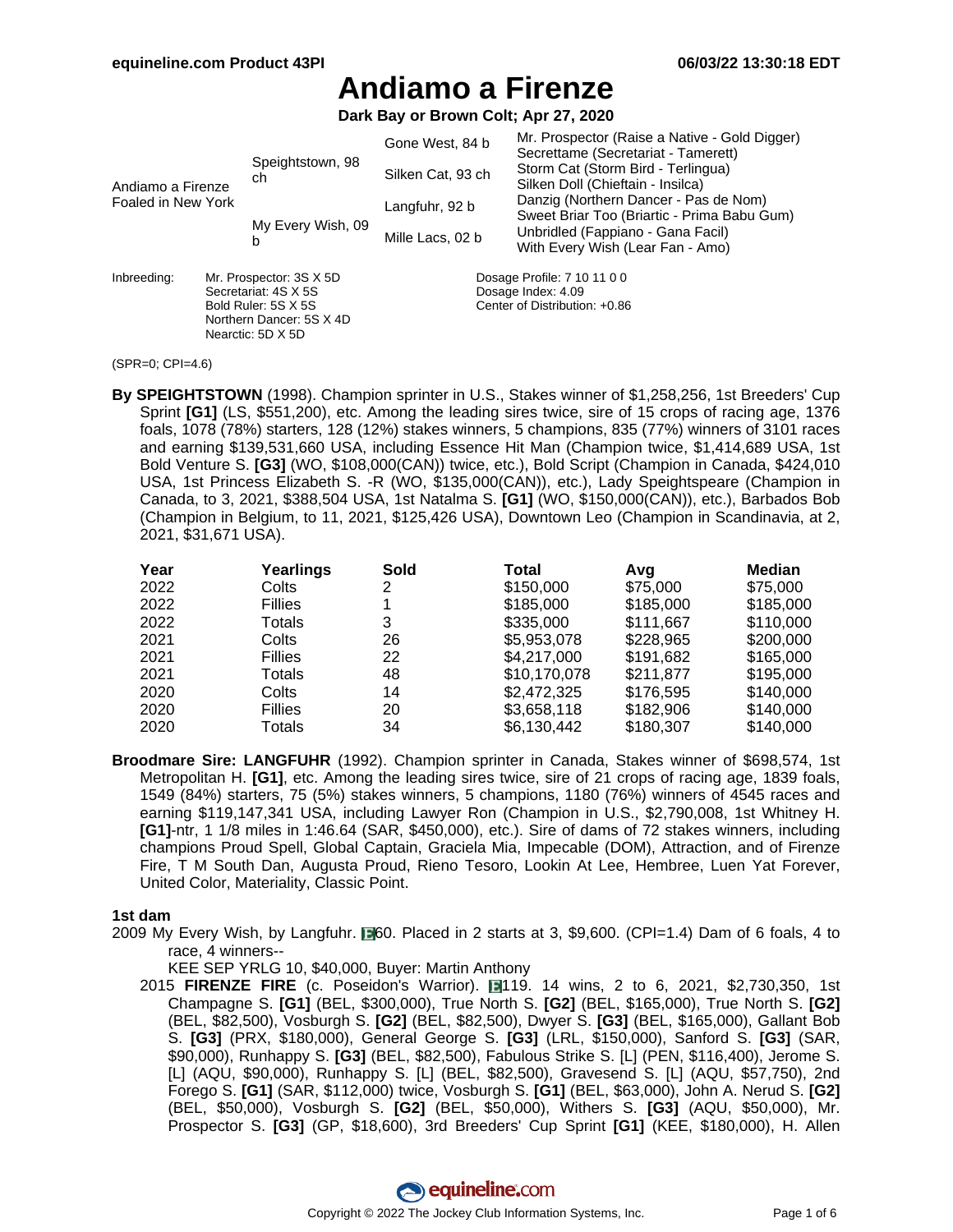**Dark Bay or Brown Colt; Apr 27, 2020**

| Andiamo a Firenze<br>Foaled in New York |                                                                                                                         |                        | Gone West, 84 b   | Mr. Prospector (Raise a Native - Gold Digger)<br>Secrettame (Secretariat - Tamerett) |  |  |  |
|-----------------------------------------|-------------------------------------------------------------------------------------------------------------------------|------------------------|-------------------|--------------------------------------------------------------------------------------|--|--|--|
|                                         |                                                                                                                         | Speightstown, 98<br>ch | Silken Cat, 93 ch | Storm Cat (Storm Bird - Terlingua)<br>Silken Doll (Chieftain - Insilca)              |  |  |  |
|                                         |                                                                                                                         |                        | Langfuhr, 92 b    | Danzig (Northern Dancer - Pas de Nom)<br>Sweet Briar Too (Briartic - Prima Babu Gum) |  |  |  |
|                                         |                                                                                                                         | My Every Wish, 09<br>b | Mille Lacs, 02 b  | Unbridled (Fappiano - Gana Facil)<br>With Every Wish (Lear Fan - Amo)                |  |  |  |
| Inbreeding:                             | Mr. Prospector: 3S X 5D<br>Secretariat: 4S X 5S<br>Bold Ruler: 5S X 5S<br>Northern Dancer: 5S X 4D<br>Nearctic: 5D X 5D |                        |                   | Dosage Profile: 7 10 11 0 0<br>Dosage Index: 4.09<br>Center of Distribution: +0.86   |  |  |  |

<sup>(</sup>SPR=0; CPI=4.6)

**By SPEIGHTSTOWN** (1998). Champion sprinter in U.S., Stakes winner of \$1,258,256, 1st Breeders' Cup Sprint **[G1]** (LS, \$551,200), etc. Among the leading sires twice, sire of 15 crops of racing age, 1376 foals, 1078 (78%) starters, 128 (12%) stakes winners, 5 champions, 835 (77%) winners of 3101 races and earning \$139,531,660 USA, including Essence Hit Man (Champion twice, \$1,414,689 USA, 1st Bold Venture S. **[G3]** (WO, \$108,000(CAN)) twice, etc.), Bold Script (Champion in Canada, \$424,010 USA, 1st Princess Elizabeth S. -R (WO, \$135,000(CAN)), etc.), Lady Speightspeare (Champion in Canada, to 3, 2021, \$388,504 USA, 1st Natalma S. **[G1]** (WO, \$150,000(CAN)), etc.), Barbados Bob (Champion in Belgium, to 11, 2021, \$125,426 USA), Downtown Leo (Champion in Scandinavia, at 2, 2021, \$31,671 USA).

| Year | Yearlings      | Sold | Total        | Avq       | Median    |
|------|----------------|------|--------------|-----------|-----------|
| 2022 | Colts          | 2    | \$150,000    | \$75,000  | \$75,000  |
| 2022 | <b>Fillies</b> |      | \$185,000    | \$185,000 | \$185,000 |
| 2022 | Totals         | 3    | \$335,000    | \$111.667 | \$110,000 |
| 2021 | Colts          | 26   | \$5,953,078  | \$228,965 | \$200,000 |
| 2021 | <b>Fillies</b> | 22   | \$4,217,000  | \$191.682 | \$165,000 |
| 2021 | Totals         | 48   | \$10,170,078 | \$211,877 | \$195,000 |
| 2020 | Colts          | 14   | \$2,472,325  | \$176,595 | \$140,000 |
| 2020 | <b>Fillies</b> | 20   | \$3,658,118  | \$182,906 | \$140,000 |
| 2020 | Totals         | 34   | \$6.130.442  | \$180.307 | \$140,000 |

**Broodmare Sire: LANGFUHR** (1992). Champion sprinter in Canada, Stakes winner of \$698,574, 1st Metropolitan H. **[G1]**, etc. Among the leading sires twice, sire of 21 crops of racing age, 1839 foals, 1549 (84%) starters, 75 (5%) stakes winners, 5 champions, 1180 (76%) winners of 4545 races and earning \$119,147,341 USA, including Lawyer Ron (Champion in U.S., \$2,790,008, 1st Whitney H. **[G1]**-ntr, 1 1/8 miles in 1:46.64 (SAR, \$450,000), etc.). Sire of dams of 72 stakes winners, including champions Proud Spell, Global Captain, Graciela Mia, Impecable (DOM), Attraction, and of Firenze Fire, T M South Dan, Augusta Proud, Rieno Tesoro, Lookin At Lee, Hembree, Luen Yat Forever, United Color, Materiality, Classic Point.

#### **1st dam**

2009 My Every Wish, by Langfuhr.  $\Box$ 60. Placed in 2 starts at 3, \$9,600. (CPI=1.4) Dam of 6 foals, 4 to race, 4 winners--

KEE SEP YRLG 10, \$40,000, Buyer: Martin Anthony

2015 **FIRENZE FIRE** (c. Poseidon's Warrior). 119. 14 wins, 2 to 6, 2021, \$2,730,350, 1st Champagne S. **[G1]** (BEL, \$300,000), True North S. **[G2]** (BEL, \$165,000), True North S. **[G2]** (BEL, \$82,500), Vosburgh S. **[G2]** (BEL, \$82,500), Dwyer S. **[G3]** (BEL, \$165,000), Gallant Bob S. **[G3]** (PRX, \$180,000), General George S. **[G3]** (LRL, \$150,000), Sanford S. **[G3]** (SAR, \$90,000), Runhappy S. **[G3]** (BEL, \$82,500), Fabulous Strike S. [L] (PEN, \$116,400), Jerome S. [L] (AQU, \$90,000), Runhappy S. [L] (BEL, \$82,500), Gravesend S. [L] (AQU, \$57,750), 2nd Forego S. **[G1]** (SAR, \$112,000) twice, Vosburgh S. **[G1]** (BEL, \$63,000), John A. Nerud S. **[G2]** (BEL, \$50,000), Vosburgh S. **[G2]** (BEL, \$50,000), Withers S. **[G3]** (AQU, \$50,000), Mr. Prospector S. **[G3]** (GP, \$18,600), 3rd Breeders' Cup Sprint **[G1]** (KEE, \$180,000), H. Allen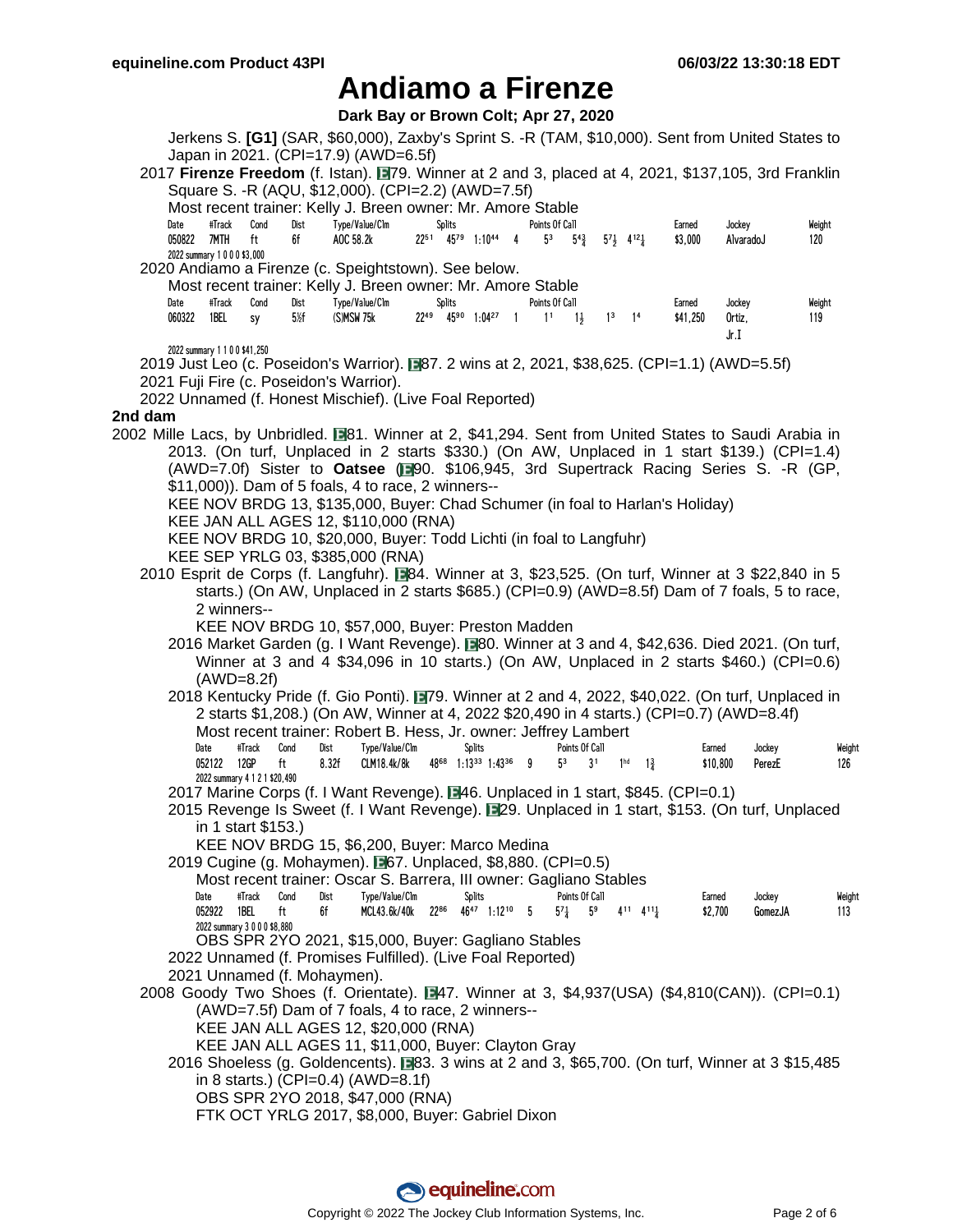Dark Bay or Brown Colt: Apr 27, 2020

|         |                                                                  |                                             |                                  | Jerkens S. [G1] (SAR, \$60,000), Zaxby's Sprint S. -R (TAM, \$10,000). Sent from United States to<br>Japan in 2021. (CPI=17.9) (AWD=6.5f)<br>2017 Firenze Freedom (f. Istan). 179. Winner at 2 and 3, placed at 4, 2021, \$137,105, 3rd Franklin<br>Square S. -R (AQU, \$12,000). (CPI=2.2) (AWD=7.5f) |        |                                                        |                                  |                    |                           |                              |                    |                          |         |               |
|---------|------------------------------------------------------------------|---------------------------------------------|----------------------------------|--------------------------------------------------------------------------------------------------------------------------------------------------------------------------------------------------------------------------------------------------------------------------------------------------------|--------|--------------------------------------------------------|----------------------------------|--------------------|---------------------------|------------------------------|--------------------|--------------------------|---------|---------------|
|         | #Track<br>Date<br>050822<br>7MTH<br>2022 summary 1 0 0 0 \$3,000 | Cond<br>ft                                  | Dist<br>6f                       | Most recent trainer: Kelly J. Breen owner: Mr. Amore Stable<br>Type/Value/Clm<br>AOC 58.2k                                                                                                                                                                                                             | Splits | 22 <sup>51</sup> 45 <sup>79</sup> 1:10 <sup>44</sup> 4 | Points Of Call<br>5 <sup>3</sup> | $5^{4}\frac{3}{4}$ | $5^{7}$ $4^{12}$ $4^{12}$ |                              | Earned<br>\$3,000  | Jockey<br>AlvaradoJ      |         | Weight<br>120 |
|         |                                                                  |                                             |                                  | 2020 Andiamo a Firenze (c. Speightstown). See below.                                                                                                                                                                                                                                                   |        |                                                        |                                  |                    |                           |                              |                    |                          |         |               |
|         |                                                                  |                                             |                                  | Most recent trainer: Kelly J. Breen owner: Mr. Amore Stable                                                                                                                                                                                                                                            |        |                                                        |                                  |                    |                           |                              |                    |                          |         |               |
|         | #Track<br>Date<br>060322<br>1BEL                                 | Cond<br>sy                                  | Dist<br>$5\frac{\cancel{2}}{2}f$ | Type/Value/Clm<br>(S)MSW 75k                                                                                                                                                                                                                                                                           | Splits | $22^{49}$ $45^{90}$ $1:04^{27}$ 1                      | Points Of Call<br>1 <sup>1</sup> | $1\frac{1}{2}$     | $1^3$ $1^4$               |                              | Earned<br>\$41,250 | Jockey<br>Ortiz,<br>Jr.I |         | Weight<br>119 |
|         | 2022 summary 1 1 0 0 \$41,250                                    |                                             |                                  | 2019 Just Leo (c. Poseidon's Warrior). ■87. 2 wins at 2, 2021, \$38,625. (CPI=1.1) (AWD=5.5f)                                                                                                                                                                                                          |        |                                                        |                                  |                    |                           |                              |                    |                          |         |               |
|         |                                                                  |                                             |                                  | 2021 Fuji Fire (c. Poseidon's Warrior).                                                                                                                                                                                                                                                                |        |                                                        |                                  |                    |                           |                              |                    |                          |         |               |
|         |                                                                  |                                             |                                  | 2022 Unnamed (f. Honest Mischief). (Live Foal Reported)                                                                                                                                                                                                                                                |        |                                                        |                                  |                    |                           |                              |                    |                          |         |               |
| 2nd dam |                                                                  |                                             |                                  |                                                                                                                                                                                                                                                                                                        |        |                                                        |                                  |                    |                           |                              |                    |                          |         |               |
|         |                                                                  |                                             |                                  | 2002 Mille Lacs, by Unbridled. 181. Winner at 2, \$41,294. Sent from United States to Saudi Arabia in                                                                                                                                                                                                  |        |                                                        |                                  |                    |                           |                              |                    |                          |         |               |
|         |                                                                  |                                             |                                  | 2013. (On turf, Unplaced in 2 starts \$330.) (On AW, Unplaced in 1 start \$139.) (CPI=1.4)                                                                                                                                                                                                             |        |                                                        |                                  |                    |                           |                              |                    |                          |         |               |
|         |                                                                  |                                             |                                  | (AWD=7.0f) Sister to Oatsee (F90. \$106,945, 3rd Supertrack Racing Series S. -R (GP,                                                                                                                                                                                                                   |        |                                                        |                                  |                    |                           |                              |                    |                          |         |               |
|         |                                                                  |                                             |                                  | \$11,000)). Dam of 5 foals, 4 to race, 2 winners--                                                                                                                                                                                                                                                     |        |                                                        |                                  |                    |                           |                              |                    |                          |         |               |
|         |                                                                  |                                             |                                  | KEE NOV BRDG 13, \$135,000, Buyer: Chad Schumer (in foal to Harlan's Holiday)                                                                                                                                                                                                                          |        |                                                        |                                  |                    |                           |                              |                    |                          |         |               |
|         |                                                                  |                                             |                                  | KEE JAN ALL AGES 12, \$110,000 (RNA)                                                                                                                                                                                                                                                                   |        |                                                        |                                  |                    |                           |                              |                    |                          |         |               |
|         |                                                                  |                                             |                                  | KEE NOV BRDG 10, \$20,000, Buyer: Todd Lichti (in foal to Langfuhr)                                                                                                                                                                                                                                    |        |                                                        |                                  |                    |                           |                              |                    |                          |         |               |
|         |                                                                  |                                             |                                  | KEE SEP YRLG 03, \$385,000 (RNA)                                                                                                                                                                                                                                                                       |        |                                                        |                                  |                    |                           |                              |                    |                          |         |               |
|         |                                                                  |                                             |                                  | 2010 Esprit de Corps (f. Langfuhr). 284. Winner at 3, \$23,525. (On turf, Winner at 3 \$22,840 in 5                                                                                                                                                                                                    |        |                                                        |                                  |                    |                           |                              |                    |                          |         |               |
|         |                                                                  |                                             |                                  | starts.) (On AW, Unplaced in 2 starts \$685.) (CPI=0.9) (AWD=8.5f) Dam of 7 foals, 5 to race,                                                                                                                                                                                                          |        |                                                        |                                  |                    |                           |                              |                    |                          |         |               |
|         |                                                                  | 2 winners--                                 |                                  |                                                                                                                                                                                                                                                                                                        |        |                                                        |                                  |                    |                           |                              |                    |                          |         |               |
|         |                                                                  |                                             |                                  | KEE NOV BRDG 10, \$57,000, Buyer: Preston Madden                                                                                                                                                                                                                                                       |        |                                                        |                                  |                    |                           |                              |                    |                          |         |               |
|         |                                                                  |                                             |                                  | 2016 Market Garden (g. I Want Revenge). 20. Winner at 3 and 4, \$42,636. Died 2021. (On turf,                                                                                                                                                                                                          |        |                                                        |                                  |                    |                           |                              |                    |                          |         |               |
|         |                                                                  |                                             |                                  | Winner at 3 and 4 \$34,096 in 10 starts.) (On AW, Unplaced in 2 starts \$460.) (CPI=0.6)                                                                                                                                                                                                               |        |                                                        |                                  |                    |                           |                              |                    |                          |         |               |
|         |                                                                  | $(AWD=8.2f)$                                |                                  |                                                                                                                                                                                                                                                                                                        |        |                                                        |                                  |                    |                           |                              |                    |                          |         |               |
|         |                                                                  |                                             |                                  | 2018 Kentucky Pride (f. Gio Ponti). 179. Winner at 2 and 4, 2022, \$40,022. (On turf, Unplaced in                                                                                                                                                                                                      |        |                                                        |                                  |                    |                           |                              |                    |                          |         |               |
|         |                                                                  |                                             |                                  | 2 starts \$1,208.) (On AW, Winner at 4, 2022 \$20,490 in 4 starts.) (CPI=0.7) (AWD=8.4f)                                                                                                                                                                                                               |        |                                                        |                                  |                    |                           |                              |                    |                          |         |               |
|         |                                                                  |                                             |                                  | Most recent trainer: Robert B. Hess, Jr. owner: Jeffrey Lambert                                                                                                                                                                                                                                        |        |                                                        |                                  |                    |                           |                              |                    |                          |         |               |
|         | Date                                                             | #Track                                      | Cond<br>Dist                     | Type/Value/Clm                                                                                                                                                                                                                                                                                         | Splits | 4868 1:1333 1:4336 9                                   |                                  | Points Of Call     |                           |                              | Earned             |                          | Jockey  | Weight        |
|         | 052122                                                           | 12GP<br>ft<br>2022 summary 4 1 2 1 \$20,490 |                                  | 8.32f<br>CLM18.4k/8k                                                                                                                                                                                                                                                                                   |        |                                                        | 5 <sup>3</sup>                   | 3 <sup>1</sup>     |                           | $1hd$ $13$                   |                    | \$10,800                 | PerezE  | 126           |
|         |                                                                  |                                             |                                  | 2017 Marine Corps (f. I Want Revenge). [346. Unplaced in 1 start, \$845. (CPI=0.1)                                                                                                                                                                                                                     |        |                                                        |                                  |                    |                           |                              |                    |                          |         |               |
|         |                                                                  |                                             |                                  | 2015 Revenge Is Sweet (f. I Want Revenge). [29. Unplaced in 1 start, \$153. (On turf, Unplaced                                                                                                                                                                                                         |        |                                                        |                                  |                    |                           |                              |                    |                          |         |               |
|         |                                                                  | in 1 start \$153.)                          |                                  |                                                                                                                                                                                                                                                                                                        |        |                                                        |                                  |                    |                           |                              |                    |                          |         |               |
|         |                                                                  |                                             |                                  | KEE NOV BRDG 15, \$6,200, Buyer: Marco Medina                                                                                                                                                                                                                                                          |        |                                                        |                                  |                    |                           |                              |                    |                          |         |               |
|         |                                                                  |                                             |                                  | 2019 Cugine (g. Mohaymen). 267. Unplaced, \$8,880. (CPI=0.5)                                                                                                                                                                                                                                           |        |                                                        |                                  |                    |                           |                              |                    |                          |         |               |
|         |                                                                  |                                             |                                  | Most recent trainer: Oscar S. Barrera, III owner: Gagliano Stables                                                                                                                                                                                                                                     |        |                                                        |                                  |                    |                           |                              |                    |                          |         |               |
|         | Date                                                             | #Track                                      | Cond<br>Dist                     | Type/Value/Clm                                                                                                                                                                                                                                                                                         | Splits |                                                        |                                  | Points Of Call     |                           |                              | Earned             |                          | Jockey  | Weight        |
|         | 052922                                                           | 1BEL<br>ft<br>2022 summary 3 0 0 0 \$8,880  | 6f                               | MCL43.6k/40k                                                                                                                                                                                                                                                                                           |        | 2286 4647 1:1210 5                                     | $5^{7}$ <sub>4</sub>             | 5 <sup>9</sup>     |                           | $4^{11}$ $4^{11}\frac{1}{4}$ | \$2,700            |                          | GomezJA | 113           |
|         |                                                                  |                                             |                                  | OBS SPR 2YO 2021, \$15,000, Buyer: Gagliano Stables                                                                                                                                                                                                                                                    |        |                                                        |                                  |                    |                           |                              |                    |                          |         |               |
|         |                                                                  |                                             |                                  | 2022 Unnamed (f. Promises Fulfilled). (Live Foal Reported)                                                                                                                                                                                                                                             |        |                                                        |                                  |                    |                           |                              |                    |                          |         |               |
|         | 2021 Unnamed (f. Mohaymen).                                      |                                             |                                  |                                                                                                                                                                                                                                                                                                        |        |                                                        |                                  |                    |                           |                              |                    |                          |         |               |
|         |                                                                  |                                             |                                  | 2008 Goody Two Shoes (f. Orientate). ■47. Winner at 3, \$4,937(USA) (\$4,810(CAN)). (CPI=0.1)                                                                                                                                                                                                          |        |                                                        |                                  |                    |                           |                              |                    |                          |         |               |
|         |                                                                  |                                             |                                  | (AWD=7.5f) Dam of 7 foals, 4 to race, 2 winners--                                                                                                                                                                                                                                                      |        |                                                        |                                  |                    |                           |                              |                    |                          |         |               |
|         |                                                                  |                                             |                                  | KEE JAN ALL AGES 12, \$20,000 (RNA)                                                                                                                                                                                                                                                                    |        |                                                        |                                  |                    |                           |                              |                    |                          |         |               |
|         |                                                                  |                                             |                                  | KEE JAN ALL AGES 11, \$11,000, Buyer: Clayton Gray                                                                                                                                                                                                                                                     |        |                                                        |                                  |                    |                           |                              |                    |                          |         |               |
|         |                                                                  |                                             |                                  | 2016 Shoeless (g. Goldencents). 283. 3 wins at 2 and 3, \$65,700. (On turf, Winner at 3 \$15,485                                                                                                                                                                                                       |        |                                                        |                                  |                    |                           |                              |                    |                          |         |               |
|         |                                                                  |                                             |                                  | in 8 starts.) (CPI=0.4) (AWD=8.1f)                                                                                                                                                                                                                                                                     |        |                                                        |                                  |                    |                           |                              |                    |                          |         |               |
|         |                                                                  |                                             |                                  | OBS SPR 2YO 2018, \$47,000 (RNA)                                                                                                                                                                                                                                                                       |        |                                                        |                                  |                    |                           |                              |                    |                          |         |               |
|         |                                                                  |                                             |                                  | FTK OCT YRLG 2017, \$8,000, Buyer: Gabriel Dixon                                                                                                                                                                                                                                                       |        |                                                        |                                  |                    |                           |                              |                    |                          |         |               |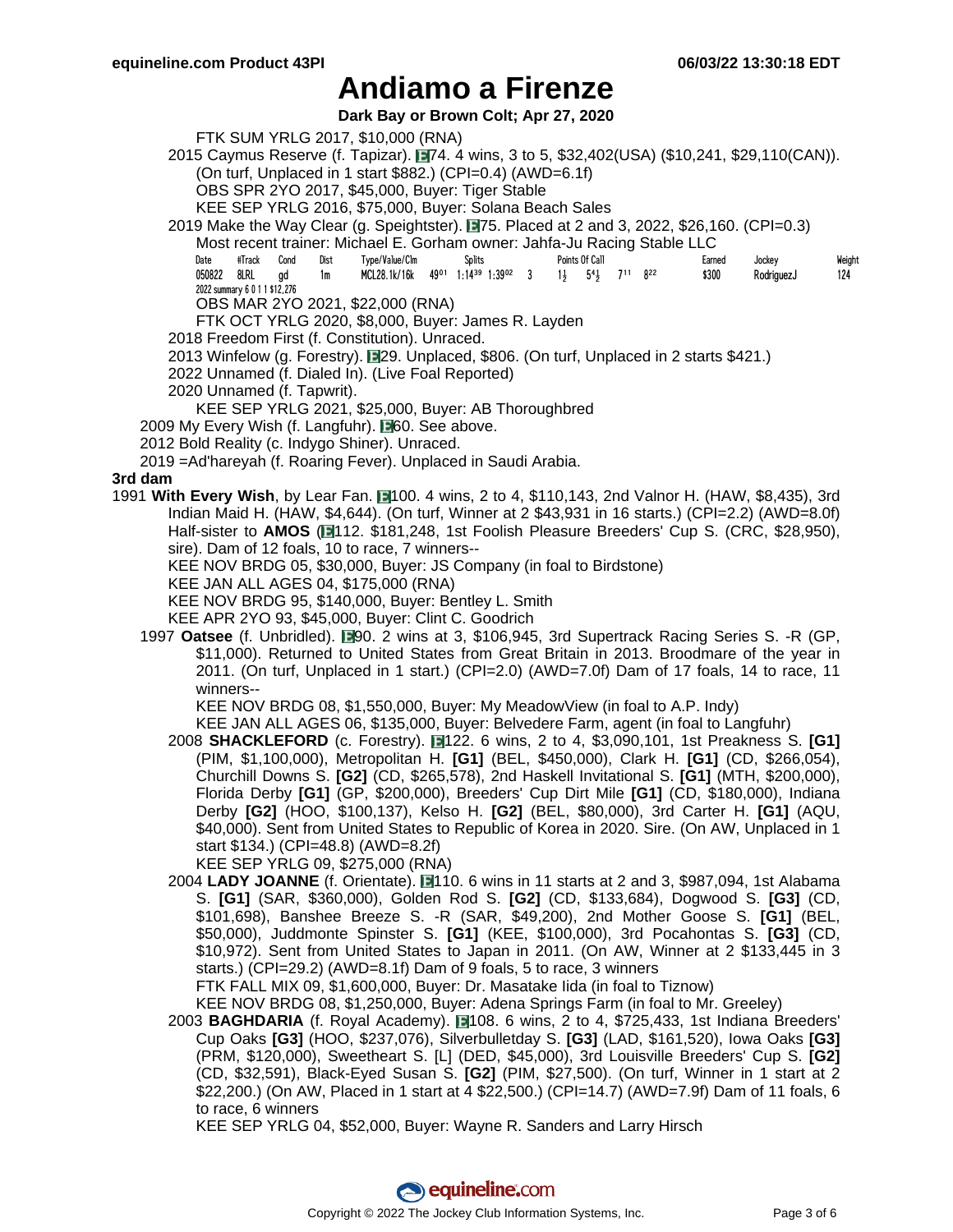**Dark Bay or Brown Colt; Apr 27, 2020**

FTK SUM YRLG 2017, \$10,000 (RNA)

2015 Caymus Reserve (f. Tapizar). **1974. 4 wins, 3 to 5, \$32,402(USA) (\$10,241, \$29,110(CAN)).** (On turf, Unplaced in 1 start \$882.) (CPI=0.4) (AWD=6.1f)

OBS SPR 2YO 2017, \$45,000, Buyer: Tiger Stable

KEE SEP YRLG 2016, \$75,000, Buyer: Solana Beach Sales

2019 Make the Way Clear (g. Speightster). 75. Placed at 2 and 3, 2022, \$26,160. (CPI=0.3)

Most recent trainer: Michael E. Gorham owner: Jahfa-Ju Racing Stable LLC

| Date | #Track Cond                   | Dist | Type/Value/Clm                                                                                                                                   | <b>Splits</b> |  | Points Of Call |  | Earned | Jockey     | Weight |
|------|-------------------------------|------|--------------------------------------------------------------------------------------------------------------------------------------------------|---------------|--|----------------|--|--------|------------|--------|
|      | 050822 8LRL gd                | 1m   | MCL28.1k/16k 49 <sup>01</sup> 1:14 <sup>39</sup> 1:39 <sup>02</sup> 3 1 <del>1</del> 5 <sup>4</sup> <sub>3</sub> 7 <sup>11</sup> 8 <sup>22</sup> |               |  |                |  | \$300  | RodriauezJ | 124    |
|      | 2022 summary 6 0 1 1 \$12,276 |      |                                                                                                                                                  |               |  |                |  |        |            |        |

OBS MAR 2YO 2021, \$22,000 (RNA)

FTK OCT YRLG 2020, \$8,000, Buyer: James R. Layden

2018 Freedom First (f. Constitution). Unraced.

2013 Winfelow (g. Forestry). 229. Unplaced, \$806. (On turf, Unplaced in 2 starts \$421.)

2022 Unnamed (f. Dialed In). (Live Foal Reported)

2020 Unnamed (f. Tapwrit).

KEE SEP YRLG 2021, \$25,000, Buyer: AB Thoroughbred

2009 My Every Wish (f. Langfuhr). **160.** See above.

- 2012 Bold Reality (c. Indygo Shiner). Unraced.
- 2019 =Ad'hareyah (f. Roaring Fever). Unplaced in Saudi Arabia.

#### **3rd dam**

- 1991 With Every Wish, by Lear Fan. 1100. 4 wins, 2 to 4, \$110,143, 2nd Valnor H. (HAW, \$8,435), 3rd Indian Maid H. (HAW, \$4,644). (On turf, Winner at 2 \$43,931 in 16 starts.) (CPI=2.2) (AWD=8.0f) Half-sister to AMOS ( $\blacksquare$ 112. \$181,248, 1st Foolish Pleasure Breeders' Cup S. (CRC, \$28,950), sire). Dam of 12 foals, 10 to race, 7 winners--
	- KEE NOV BRDG 05, \$30,000, Buyer: JS Company (in foal to Birdstone)
	- KEE JAN ALL AGES 04, \$175,000 (RNA)
	- KEE NOV BRDG 95, \$140,000, Buyer: Bentley L. Smith

KEE APR 2YO 93, \$45,000, Buyer: Clint C. Goodrich

1997 **Oatsee** (f. Unbridled). 190. 2 wins at 3, \$106,945, 3rd Supertrack Racing Series S. -R (GP, \$11,000). Returned to United States from Great Britain in 2013. Broodmare of the year in 2011. (On turf, Unplaced in 1 start.) (CPI=2.0) (AWD=7.0f) Dam of 17 foals, 14 to race, 11 winners--

KEE NOV BRDG 08, \$1,550,000, Buyer: My MeadowView (in foal to A.P. Indy)

KEE JAN ALL AGES 06, \$135,000, Buyer: Belvedere Farm, agent (in foal to Langfuhr)

2008 **SHACKLEFORD** (c. Forestry). 122. 6 wins, 2 to 4, \$3,090,101, 1st Preakness S. **[G1]** (PIM, \$1,100,000), Metropolitan H. **[G1]** (BEL, \$450,000), Clark H. **[G1]** (CD, \$266,054), Churchill Downs S. **[G2]** (CD, \$265,578), 2nd Haskell Invitational S. **[G1]** (MTH, \$200,000), Florida Derby **[G1]** (GP, \$200,000), Breeders' Cup Dirt Mile **[G1]** (CD, \$180,000), Indiana Derby **[G2]** (HOO, \$100,137), Kelso H. **[G2]** (BEL, \$80,000), 3rd Carter H. **[G1]** (AQU, \$40,000). Sent from United States to Republic of Korea in 2020. Sire. (On AW, Unplaced in 1 start \$134.) (CPI=48.8) (AWD=8.2f)

KEE SEP YRLG 09, \$275,000 (RNA)

2004 **LADY JOANNE** (f. Orientate). 110. 6 wins in 11 starts at 2 and 3, \$987,094, 1st Alabama S. **[G1]** (SAR, \$360,000), Golden Rod S. **[G2]** (CD, \$133,684), Dogwood S. **[G3]** (CD, \$101,698), Banshee Breeze S. -R (SAR, \$49,200), 2nd Mother Goose S. **[G1]** (BEL, \$50,000), Juddmonte Spinster S. **[G1]** (KEE, \$100,000), 3rd Pocahontas S. **[G3]** (CD, \$10,972). Sent from United States to Japan in 2011. (On AW, Winner at 2 \$133,445 in 3 starts.) (CPI=29.2) (AWD=8.1f) Dam of 9 foals, 5 to race, 3 winners

FTK FALL MIX 09, \$1,600,000, Buyer: Dr. Masatake Iida (in foal to Tiznow)

KEE NOV BRDG 08, \$1,250,000, Buyer: Adena Springs Farm (in foal to Mr. Greeley)

2003 **BAGHDARIA** (f. Royal Academy). **■**108. 6 wins, 2 to 4, \$725,433, 1st Indiana Breeders' Cup Oaks **[G3]** (HOO, \$237,076), Silverbulletday S. **[G3]** (LAD, \$161,520), Iowa Oaks **[G3]** (PRM, \$120,000), Sweetheart S. [L] (DED, \$45,000), 3rd Louisville Breeders' Cup S. **[G2]** (CD, \$32,591), Black-Eyed Susan S. **[G2]** (PIM, \$27,500). (On turf, Winner in 1 start at 2 \$22,200.) (On AW, Placed in 1 start at 4 \$22,500.) (CPI=14.7) (AWD=7.9f) Dam of 11 foals, 6 to race, 6 winners

KEE SEP YRLG 04, \$52,000, Buyer: Wayne R. Sanders and Larry Hirsch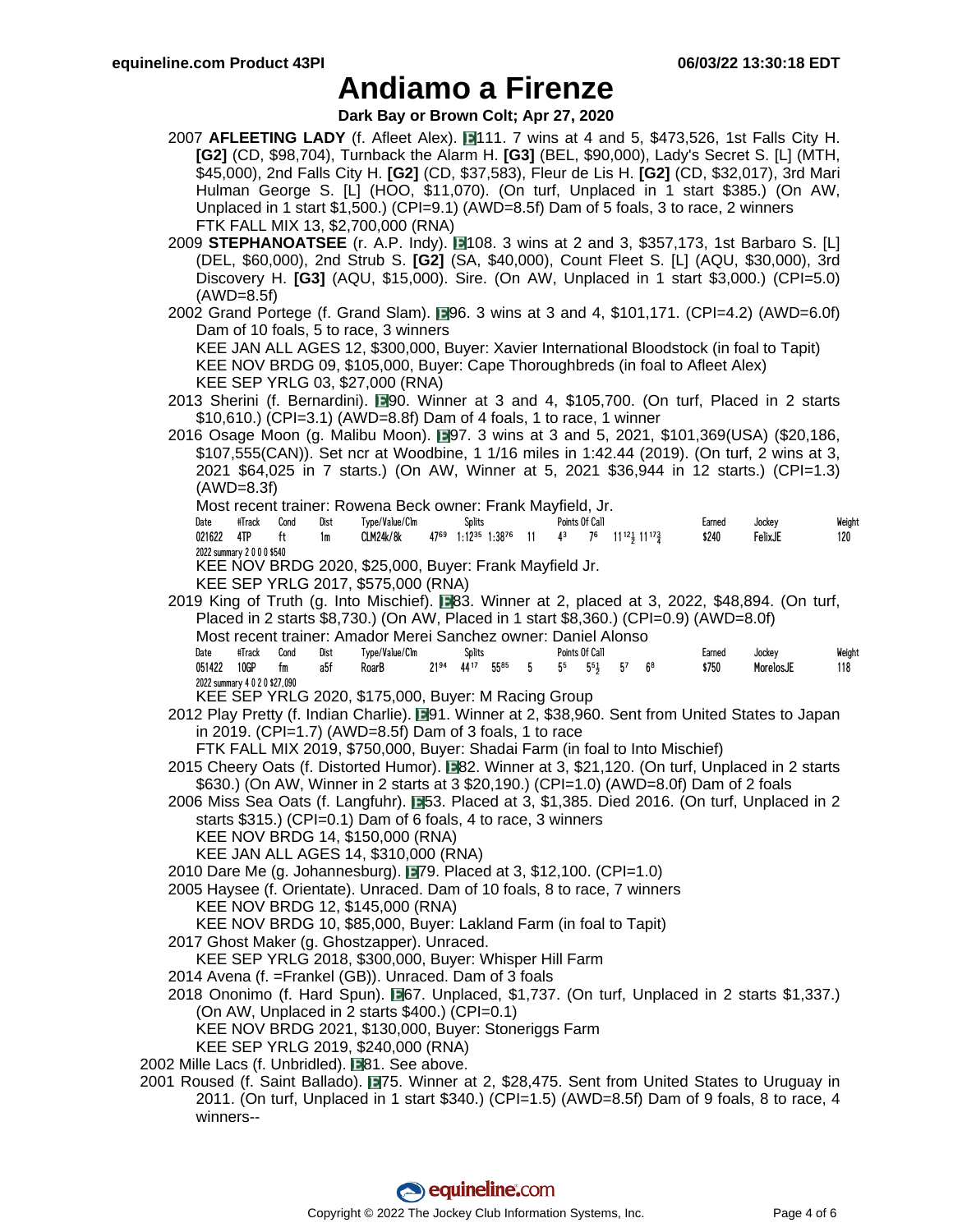**Dark Bay or Brown Colt; Apr 27, 2020**

- 2007 **AFLEETING LADY** (f. Afleet Alex). 111. 7 wins at 4 and 5, \$473,526, 1st Falls City H. **[G2]** (CD, \$98,704), Turnback the Alarm H. **[G3]** (BEL, \$90,000), Lady's Secret S. [L] (MTH, \$45,000), 2nd Falls City H. **[G2]** (CD, \$37,583), Fleur de Lis H. **[G2]** (CD, \$32,017), 3rd Mari Hulman George S. [L] (HOO, \$11,070). (On turf, Unplaced in 1 start \$385.) (On AW, Unplaced in 1 start \$1,500.) (CPI=9.1) (AWD=8.5f) Dam of 5 foals, 3 to race, 2 winners FTK FALL MIX 13, \$2,700,000 (RNA)
- 2009 **STEPHANOATSEE** (r. A.P. Indy). 1108. 3 wins at 2 and 3, \$357,173, 1st Barbaro S. [L] (DEL, \$60,000), 2nd Strub S. **[G2]** (SA, \$40,000), Count Fleet S. [L] (AQU, \$30,000), 3rd Discovery H. **[G3]** (AQU, \$15,000). Sire. (On AW, Unplaced in 1 start \$3,000.) (CPI=5.0) (AWD=8.5f)
- 2002 Grand Portege (f. Grand Slam).  $\Box$ 96. 3 wins at 3 and 4, \$101,171. (CPI=4.2) (AWD=6.0f) Dam of 10 foals, 5 to race, 3 winners KEE JAN ALL AGES 12, \$300,000, Buyer: Xavier International Bloodstock (in foal to Tapit) KEE NOV BRDG 09, \$105,000, Buyer: Cape Thoroughbreds (in foal to Afleet Alex) KEE SEP YRLG 03, \$27,000 (RNA)
- 2013 Sherini (f. Bernardini). 190. Winner at 3 and 4, \$105,700. (On turf, Placed in 2 starts \$10,610.) (CPI=3.1) (AWD=8.8f) Dam of 4 foals, 1 to race, 1 winner
- 2016 Osage Moon (g. Malibu Moon). 197. 3 wins at 3 and 5, 2021, \$101,369(USA) (\$20,186, \$107,555(CAN)). Set ncr at Woodbine, 1 1/16 miles in 1:42.44 (2019). (On turf, 2 wins at 3, 2021 \$64,025 in 7 starts.) (On AW, Winner at 5, 2021 \$36,944 in 12 starts.) (CPI=1.3) (AWD=8.3f)

Most recent trainer: Rowena Beck owner: Frank Mayfield, Jr.

| Date | #Track                     | Cond | Dist | Type/Value/Clm | Splits                                                                                                                                       | Points Of Call |  | Earned | Jockev  | Weight |
|------|----------------------------|------|------|----------------|----------------------------------------------------------------------------------------------------------------------------------------------|----------------|--|--------|---------|--------|
|      | 021622 4TP ft              |      | 1m   | CLM24k/8k      | $47^{69}$ 1:12 <sup>35</sup> 1:38 <sup>76</sup> 11 4 <sup>3</sup> 7 <sup>6</sup> 11 <sup>12</sup> <sup>1</sup> 11 <sup>17</sup> <sup>2</sup> |                |  | \$240  | FelixJE | 120    |
|      | 2022 summary 2 0 0 0 \$540 |      |      |                |                                                                                                                                              |                |  |        |         |        |
|      |                            |      |      | $L = L \cup L$ |                                                                                                                                              |                |  |        |         |        |

KEE NOV BRDG 2020, \$25,000, Buyer: Frank Mayfield Jr.

- KEE SEP YRLG 2017, \$575,000 (RNA)
- 2019 King of Truth (g. Into Mischief).  $\Box$ 83. Winner at 2, placed at 3, 2022, \$48,894. (On turf, Placed in 2 starts \$8,730.) (On AW, Placed in 1 start \$8,360.) (CPI=0.9) (AWD=8.0f) Most recent trainer: Amador Merei Sanchez owner: Daniel Alonso Date #Track Cond Dist Type/Value/Clm Splits Points Of Call Earned Jockey Weight 051422 10GP fm a5f RoarB 21<sup>94</sup> 44<sup>17</sup> 55<sup>85</sup> 5 5<sup>5</sup> 5<sup>5</sup> 5<sup>7</sup> 6<sup>8</sup> \$750 MorelosJE 118

2022 summary 4 0 2 0 \$27,090 KEE SEP YRLG 2020, \$175,000, Buyer: M Racing Group

2012 Play Pretty (f. Indian Charlie). ■91. Winner at 2, \$38,960. Sent from United States to Japan in 2019. (CPI=1.7) (AWD=8.5f) Dam of 3 foals, 1 to race

FTK FALL MIX 2019, \$750,000, Buyer: Shadai Farm (in foal to Into Mischief)

- 2015 Cheery Oats (f. Distorted Humor). **1982.** Winner at 3, \$21,120. (On turf, Unplaced in 2 starts \$630.) (On AW, Winner in 2 starts at 3 \$20,190.) (CPI=1.0) (AWD=8.0f) Dam of 2 foals
- 2006 Miss Sea Oats (f. Langfuhr). **153. Placed at 3, \$1,385. Died 2016. (On turf, Unplaced in 2** starts \$315.) (CPI=0.1) Dam of 6 foals, 4 to race, 3 winners
	- KEE NOV BRDG 14, \$150,000 (RNA)

KEE JAN ALL AGES 14, \$310,000 (RNA)

- 2010 Dare Me (g. Johannesburg). 179. Placed at 3, \$12,100. (CPI=1.0)
- 2005 Haysee (f. Orientate). Unraced. Dam of 10 foals, 8 to race, 7 winners KEE NOV BRDG 12, \$145,000 (RNA)
- KEE NOV BRDG 10, \$85,000, Buyer: Lakland Farm (in foal to Tapit)
- 2017 Ghost Maker (g. Ghostzapper). Unraced.
	- KEE SEP YRLG 2018, \$300,000, Buyer: Whisper Hill Farm
- 2014 Avena (f. =Frankel (GB)). Unraced. Dam of 3 foals
- 2018 Ononimo (f. Hard Spun).  $\blacksquare$ 67. Unplaced, \$1,737. (On turf, Unplaced in 2 starts \$1,337.) (On AW, Unplaced in 2 starts \$400.) (CPI=0.1)
	- KEE NOV BRDG 2021, \$130,000, Buyer: Stoneriggs Farm
- KEE SEP YRLG 2019, \$240,000 (RNA)
- 2002 Mille Lacs (f. Unbridled). **81.** See above.
- 2001 Roused (f. Saint Ballado). 175. Winner at 2, \$28,475. Sent from United States to Uruguay in 2011. (On turf, Unplaced in 1 start \$340.) (CPI=1.5) (AWD=8.5f) Dam of 9 foals, 8 to race, 4 winners--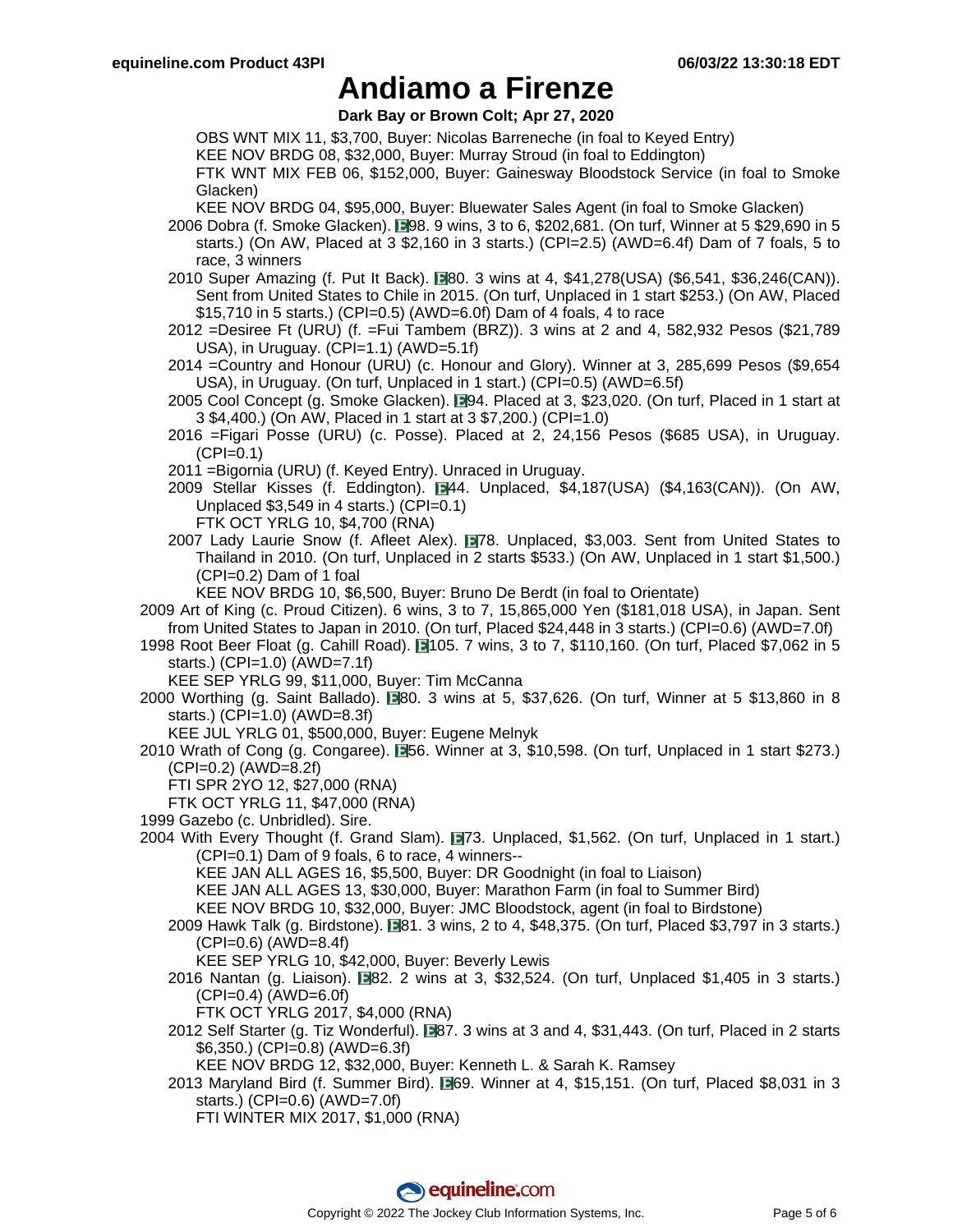**Dark Bay or Brown Colt; Apr 27, 2020**

OBS WNT MIX 11, \$3,700, Buyer: Nicolas Barreneche (in foal to Keyed Entry)

KEE NOV BRDG 08, \$32,000, Buyer: Murray Stroud (in foal to Eddington)

FTK WNT MIX FEB 06, \$152,000, Buyer: Gainesway Bloodstock Service (in foal to Smoke Glacken)

KEE NOV BRDG 04, \$95,000, Buyer: Bluewater Sales Agent (in foal to Smoke Glacken)

- 2006 Dobra (f. Smoke Glacken). 198. 9 wins, 3 to 6, \$202,681. (On turf, Winner at 5 \$29,690 in 5 starts.) (On AW, Placed at 3 \$2,160 in 3 starts.) (CPI=2.5) (AWD=6.4f) Dam of 7 foals, 5 to race, 3 winners
- 2010 Super Amazing (f. Put It Back). **1380. 3 wins at 4, \$41,278(USA) (\$6,541, \$36,246(CAN)).** Sent from United States to Chile in 2015. (On turf, Unplaced in 1 start \$253.) (On AW, Placed \$15,710 in 5 starts.) (CPI=0.5) (AWD=6.0f) Dam of 4 foals, 4 to race
- 2012 =Desiree Ft (URU) (f. =Fui Tambem (BRZ)). 3 wins at 2 and 4, 582,932 Pesos (\$21,789 USA), in Uruguay. (CPI=1.1) (AWD=5.1f)
- 2014 =Country and Honour (URU) (c. Honour and Glory). Winner at 3, 285,699 Pesos (\$9,654 USA), in Uruguay. (On turf, Unplaced in 1 start.) (CPI=0.5) (AWD=6.5f)
- 2005 Cool Concept (g. Smoke Glacken). 194. Placed at 3, \$23,020. (On turf, Placed in 1 start at 3 \$4,400.) (On AW, Placed in 1 start at 3 \$7,200.) (CPI=1.0)
- 2016 =Figari Posse (URU) (c. Posse). Placed at 2, 24,156 Pesos (\$685 USA), in Uruguay.  $(CPI=0.1)$
- 2011 =Bigornia (URU) (f. Keyed Entry). Unraced in Uruguay.
- 2009 Stellar Kisses (f. Eddington).  $\blacksquare$ 44. Unplaced, \$4,187(USA) (\$4,163(CAN)). (On AW, Unplaced \$3,549 in 4 starts.) (CPI=0.1)
	- FTK OCT YRLG 10, \$4,700 (RNA)
- 2007 Lady Laurie Snow (f. Afleet Alex). 78. Unplaced, \$3,003. Sent from United States to Thailand in 2010. (On turf, Unplaced in 2 starts \$533.) (On AW, Unplaced in 1 start \$1,500.)  $(CPI=0.2)$  Dam of 1 foal

KEE NOV BRDG 10, \$6,500, Buyer: Bruno De Berdt (in foal to Orientate)

- 2009 Art of King (c. Proud Citizen). 6 wins, 3 to 7, 15,865,000 Yen (\$181,018 USA), in Japan. Sent from United States to Japan in 2010. (On turf, Placed \$24,448 in 3 starts.) (CPI=0.6) (AWD=7.0f)
- 1998 Root Beer Float (g. Cahill Road). 1105. 7 wins, 3 to 7, \$110,160. (On turf, Placed \$7,062 in 5 starts.) (CPI=1.0) (AWD=7.1f)

KEE SEP YRLG 99, \$11,000, Buyer: Tim McCanna

- 2000 Worthing (g. Saint Ballado).  $\blacksquare 80.3$  wins at 5, \$37,626. (On turf, Winner at 5 \$13,860 in 8 starts.) (CPI=1.0) (AWD=8.3f)
	- KEE JUL YRLG 01, \$500,000, Buyer: Eugene Melnyk
- 2010 Wrath of Cong (g. Congaree). **56.** Winner at 3, \$10,598. (On turf, Unplaced in 1 start \$273.) (CPI=0.2) (AWD=8.2f)
	- FTI SPR 2YO 12, \$27,000 (RNA)
	- FTK OCT YRLG 11, \$47,000 (RNA)
- 1999 Gazebo (c. Unbridled). Sire.
- 2004 With Every Thought (f. Grand Slam). 173. Unplaced, \$1,562. (On turf, Unplaced in 1 start.) (CPI=0.1) Dam of 9 foals, 6 to race, 4 winners--

KEE JAN ALL AGES 16, \$5,500, Buyer: DR Goodnight (in foal to Liaison)

KEE JAN ALL AGES 13, \$30,000, Buyer: Marathon Farm (in foal to Summer Bird)

KEE NOV BRDG 10, \$32,000, Buyer: JMC Bloodstock, agent (in foal to Birdstone)

2009 Hawk Talk (g. Birdstone). **1981. 3 wins, 2 to 4, \$48,375. (On turf, Placed \$3,797 in 3 starts.)**  $(CPI=0.6)$   $(AWD=8.4f)$ 

KEE SEP YRLG 10, \$42,000, Buyer: Beverly Lewis

- 2016 Nantan (g. Liaison).  $\Box$  82. 2 wins at 3, \$32,524. (On turf, Unplaced \$1,405 in 3 starts.)  $(CPI=0.4)$   $(AWD=6.0f)$ 
	- FTK OCT YRLG 2017, \$4,000 (RNA)
- 2012 Self Starter (g. Tiz Wonderful). **1987. 3 wins at 3 and 4, \$31,443.** (On turf, Placed in 2 starts \$6,350.) (CPI=0.8) (AWD=6.3f)

KEE NOV BRDG 12, \$32,000, Buyer: Kenneth L. & Sarah K. Ramsey

2013 Maryland Bird (f. Summer Bird).  $\blacksquare$ 69. Winner at 4, \$15,151. (On turf, Placed \$8,031 in 3 starts.) (CPI=0.6) (AWD=7.0f)

FTI WINTER MIX 2017, \$1,000 (RNA)